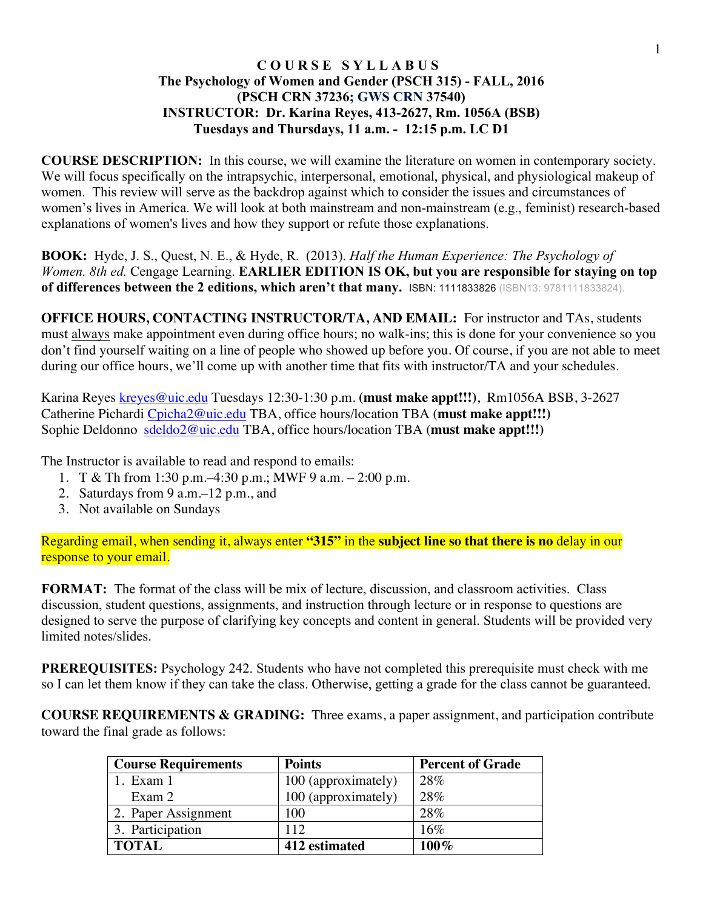### **C O U R S E S Y L L A B U S The Psychology of Women and Gender (PSCH 315) - FALL, 2016 (PSCH CRN 37236; GWS CRN 37540) INSTRUCTOR: Dr. Karina Reyes, 413-2627, Rm. 1056A (BSB) Tuesdays and Thursdays, 11 a.m. - 12:15 p.m. LC D1**

**COURSE DESCRIPTION:** In this course, we will examine the literature on women in contemporary society. We will focus specifically on the intrapsychic, interpersonal, emotional, physical, and physiological makeup of women. This review will serve as the backdrop against which to consider the issues and circumstances of women's lives in America. We will look at both mainstream and non-mainstream (e.g., feminist) research-based explanations of women's lives and how they support or refute those explanations.

**BOOK:** Hyde, J. S., Quest, N. E., & Hyde, R. (2013). *Half the Human Experience: The Psychology of Women. 8th ed.* Cengage Learning. **EARLIER EDITION IS OK, but you are responsible for staying on top of differences between the 2 editions, which aren't that many.** ISBN: 1111833826 (ISBN13: 9781111833824).

**OFFICE HOURS, CONTACTING INSTRUCTOR/TA, AND EMAIL:** For instructor and TAs, students must always make appointment even during office hours; no walk-ins; this is done for your convenience so you don't find yourself waiting on a line of people who showed up before you. Of course, if you are not able to meet during our office hours, we'll come up with another time that fits with instructor/TA and your schedules.

Karina Reyes kreyes@uic.edu Tuesdays 12:30-1:30 p.m. **(must make appt!!!)**, Rm1056A BSB, 3-2627 Catherine Pichardi Cpicha2@uic.edu TBA, office hours/location TBA (**must make appt!!!)** Sophie Deldonno sdeldo2@uic.edu TBA, office hours/location TBA (**must make appt!!!)**

The Instructor is available to read and respond to emails:

- 1. T & Th from 1:30 p.m.–4:30 p.m.; MWF 9 a.m. 2:00 p.m.
- 2. Saturdays from 9 a.m.–12 p.m., and
- 3. Not available on Sundays

Regarding email, when sending it, always enter **"315"** in the **subject line so that there is no** delay in our response to your email.

**FORMAT:** The format of the class will be mix of lecture, discussion, and classroom activities. Class discussion, student questions, assignments, and instruction through lecture or in response to questions are designed to serve the purpose of clarifying key concepts and content in general. Students will be provided very limited notes/slides.

**PREREQUISITES:** Psychology 242. Students who have not completed this prerequisite must check with me so I can let them know if they can take the class. Otherwise, getting a grade for the class cannot be guaranteed.

**COURSE REQUIREMENTS & GRADING:** Three exams, a paper assignment, and participation contribute toward the final grade as follows:

| <b>Course Requirements</b> | <b>Points</b>       | <b>Percent of Grade</b> |
|----------------------------|---------------------|-------------------------|
| 1. Exam 1                  | 100 (approximately) | 28%                     |
| Exam 2                     | 100 (approximately) | 28%                     |
| 2. Paper Assignment        | 100                 | 28%                     |
| 3. Participation           | 112                 | 16%                     |
| <b>TOTAL</b>               | 412 estimated       | $100\%$                 |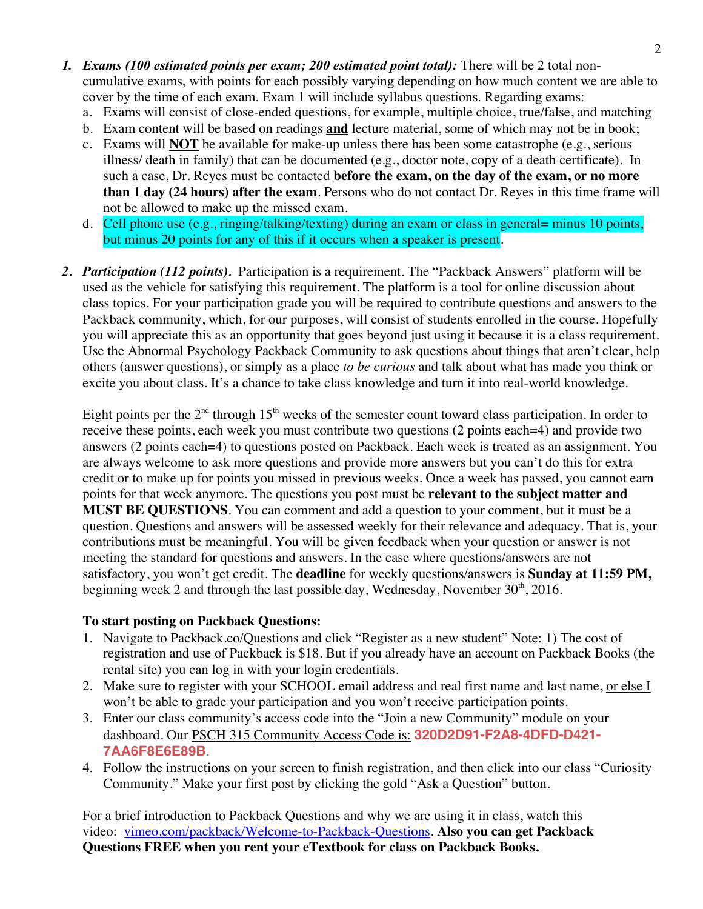- *1. Exams (100 estimated points per exam; 200 estimated point total):* There will be 2 total noncumulative exams, with points for each possibly varying depending on how much content we are able to cover by the time of each exam. Exam 1 will include syllabus questions. Regarding exams:
	- a. Exams will consist of close-ended questions, for example, multiple choice, true/false, and matching
	- b. Exam content will be based on readings **and** lecture material, some of which may not be in book;
	- c. Exams will **NOT** be available for make-up unless there has been some catastrophe (e.g., serious illness/ death in family) that can be documented (e.g., doctor note, copy of a death certificate). In such a case, Dr. Reyes must be contacted **before the exam, on the day of the exam, or no more than 1 day (24 hours) after the exam**. Persons who do not contact Dr. Reyes in this time frame will not be allowed to make up the missed exam.
	- d. Cell phone use (e.g., ringing/talking/texting) during an exam or class in general= minus 10 points, but minus 20 points for any of this if it occurs when a speaker is present.
- *2. Participation (112 points).* Participation is a requirement. The "Packback Answers" platform will be used as the vehicle for satisfying this requirement. The platform is a tool for online discussion about class topics. For your participation grade you will be required to contribute questions and answers to the Packback community, which, for our purposes, will consist of students enrolled in the course. Hopefully you will appreciate this as an opportunity that goes beyond just using it because it is a class requirement. Use the Abnormal Psychology Packback Community to ask questions about things that aren't clear, help others (answer questions), or simply as a place *to be curious* and talk about what has made you think or excite you about class. It's a chance to take class knowledge and turn it into real-world knowledge.

Eight points per the  $2<sup>nd</sup>$  through 15<sup>th</sup> weeks of the semester count toward class participation. In order to receive these points, each week you must contribute two questions (2 points each=4) and provide two answers (2 points each=4) to questions posted on Packback. Each week is treated as an assignment. You are always welcome to ask more questions and provide more answers but you can't do this for extra credit or to make up for points you missed in previous weeks. Once a week has passed, you cannot earn points for that week anymore. The questions you post must be **relevant to the subject matter and MUST BE QUESTIONS**. You can comment and add a question to your comment, but it must be a question. Questions and answers will be assessed weekly for their relevance and adequacy. That is, your contributions must be meaningful. You will be given feedback when your question or answer is not meeting the standard for questions and answers. In the case where questions/answers are not satisfactory, you won't get credit. The **deadline** for weekly questions/answers is **Sunday at 11:59 PM,** beginning week 2 and through the last possible day, Wednesday, November 30<sup>th</sup>, 2016.

## **To start posting on Packback Questions:**

- 1. Navigate to Packback.co/Questions and click "Register as a new student" Note: 1) The cost of registration and use of Packback is \$18. But if you already have an account on Packback Books (the rental site) you can log in with your login credentials.
- 2. Make sure to register with your SCHOOL email address and real first name and last name, or else I won't be able to grade your participation and you won't receive participation points.
- 3. Enter our class community's access code into the "Join a new Community" module on your dashboard. Our PSCH 315 Community Access Code is: **320D2D91-F2A8-4DFD-D421- 7AA6F8E6E89B**.
- 4. Follow the instructions on your screen to finish registration, and then click into our class "Curiosity Community." Make your first post by clicking the gold "Ask a Question" button.

For a brief introduction to Packback Questions and why we are using it in class, watch this video: vimeo.com/packback/Welcome-to-Packback-Questions. **Also you can get Packback Questions FREE when you rent your eTextbook for class on Packback Books.**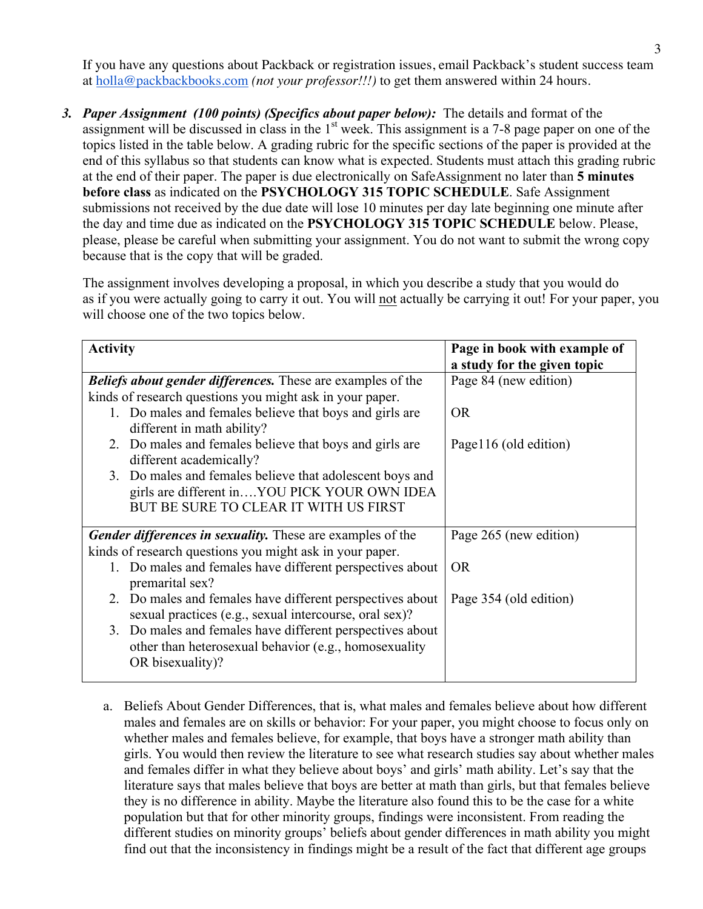If you have any questions about Packback or registration issues, email Packback's student success team at holla@packbackbooks.com *(not your professor!!!)* to get them answered within 24 hours.

*3. Paper Assignment (100 points) (Specifics about paper below):* The details and format of the assignment will be discussed in class in the  $1<sup>st</sup>$  week. This assignment is a 7-8 page paper on one of the topics listed in the table below. A grading rubric for the specific sections of the paper is provided at the end of this syllabus so that students can know what is expected. Students must attach this grading rubric at the end of their paper. The paper is due electronically on SafeAssignment no later than **5 minutes before class** as indicated on the **PSYCHOLOGY 315 TOPIC SCHEDULE**. Safe Assignment submissions not received by the due date will lose 10 minutes per day late beginning one minute after the day and time due as indicated on the **PSYCHOLOGY 315 TOPIC SCHEDULE** below. Please, please, please be careful when submitting your assignment. You do not want to submit the wrong copy because that is the copy that will be graded.

The assignment involves developing a proposal, in which you describe a study that you would do as if you were actually going to carry it out. You will not actually be carrying it out! For your paper, you will choose one of the two topics below.

| <b>Activity</b>                                                                                                                                   | Page in book with example of<br>a study for the given topic |
|---------------------------------------------------------------------------------------------------------------------------------------------------|-------------------------------------------------------------|
| <b>Beliefs about gender differences.</b> These are examples of the                                                                                | Page 84 (new edition)                                       |
| kinds of research questions you might ask in your paper.                                                                                          |                                                             |
| 1. Do males and females believe that boys and girls are<br>different in math ability?                                                             | <b>OR</b>                                                   |
| 2. Do males and females believe that boys and girls are<br>different academically?                                                                | Page 116 (old edition)                                      |
| 3. Do males and females believe that adolescent boys and<br>girls are different inYOU PICK YOUR OWN IDEA<br>BUT BE SURE TO CLEAR IT WITH US FIRST |                                                             |
| <b>Gender differences in sexuality.</b> These are examples of the                                                                                 | Page 265 (new edition)                                      |
| kinds of research questions you might ask in your paper.                                                                                          |                                                             |
| 1. Do males and females have different perspectives about<br>premarital sex?                                                                      | <b>OR</b>                                                   |
| 2. Do males and females have different perspectives about<br>sexual practices (e.g., sexual intercourse, oral sex)?                               | Page 354 (old edition)                                      |
| 3. Do males and females have different perspectives about<br>other than heterosexual behavior (e.g., homosexuality<br>OR bisexuality)?            |                                                             |

a. Beliefs About Gender Differences, that is, what males and females believe about how different males and females are on skills or behavior: For your paper, you might choose to focus only on whether males and females believe, for example, that boys have a stronger math ability than girls. You would then review the literature to see what research studies say about whether males and females differ in what they believe about boys' and girls' math ability. Let's say that the literature says that males believe that boys are better at math than girls, but that females believe they is no difference in ability. Maybe the literature also found this to be the case for a white population but that for other minority groups, findings were inconsistent. From reading the different studies on minority groups' beliefs about gender differences in math ability you might find out that the inconsistency in findings might be a result of the fact that different age groups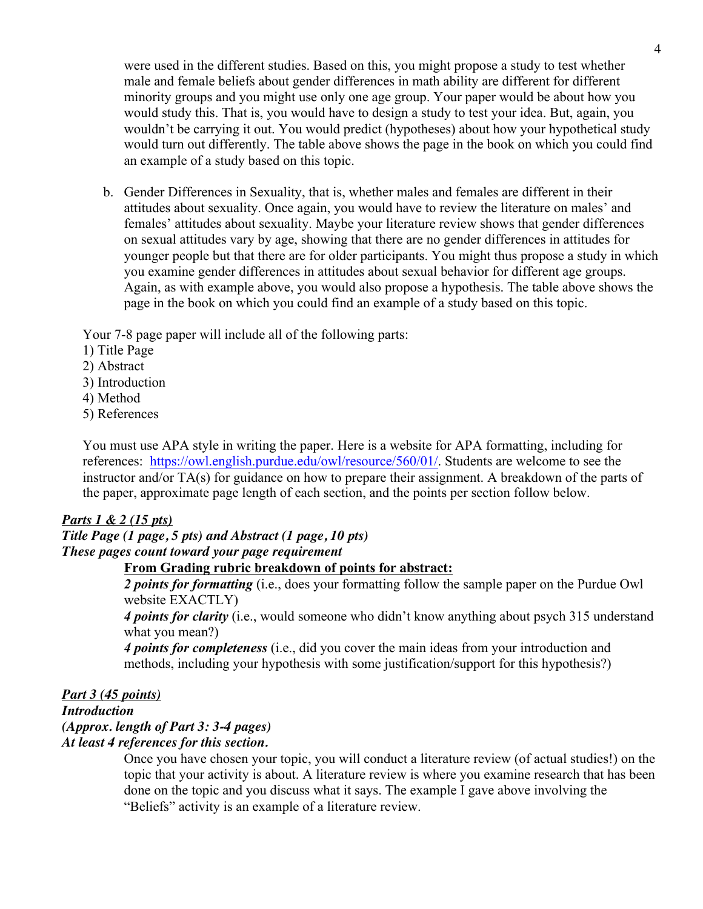were used in the different studies. Based on this, you might propose a study to test whether male and female beliefs about gender differences in math ability are different for different minority groups and you might use only one age group. Your paper would be about how you would study this. That is, you would have to design a study to test your idea. But, again, you wouldn't be carrying it out. You would predict (hypotheses) about how your hypothetical study would turn out differently. The table above shows the page in the book on which you could find an example of a study based on this topic.

b. Gender Differences in Sexuality, that is, whether males and females are different in their attitudes about sexuality. Once again, you would have to review the literature on males' and females' attitudes about sexuality. Maybe your literature review shows that gender differences on sexual attitudes vary by age, showing that there are no gender differences in attitudes for younger people but that there are for older participants. You might thus propose a study in which you examine gender differences in attitudes about sexual behavior for different age groups. Again, as with example above, you would also propose a hypothesis. The table above shows the page in the book on which you could find an example of a study based on this topic.

Your 7-8 page paper will include all of the following parts:

- 1) Title Page
- 2) Abstract
- 3) Introduction
- 4) Method
- 5) References

You must use APA style in writing the paper. Here is a website for APA formatting, including for references: https://owl.english.purdue.edu/owl/resource/560/01/. Students are welcome to see the instructor and/or TA(s) for guidance on how to prepare their assignment. A breakdown of the parts of the paper, approximate page length of each section, and the points per section follow below.

### *Parts 1 & 2 (15 pts)*

#### *Title Page (1 page, 5 pts) and Abstract (1 page, 10 pts) These pages count toward your page requirement*

### **From Grading rubric breakdown of points for abstract:**

*2 points for formatting* (i.e., does your formatting follow the sample paper on the Purdue Owl website EXACTLY)

*4 points for clarity* (i.e., would someone who didn't know anything about psych 315 understand what you mean?)

*4 points for completeness* (i.e., did you cover the main ideas from your introduction and methods, including your hypothesis with some justification/support for this hypothesis?)

#### *Part 3 (45 points) Introduction (Approx. length of Part 3: 3-4 pages) At least 4 references for this section.*

Once you have chosen your topic, you will conduct a literature review (of actual studies!) on the topic that your activity is about. A literature review is where you examine research that has been done on the topic and you discuss what it says. The example I gave above involving the "Beliefs" activity is an example of a literature review.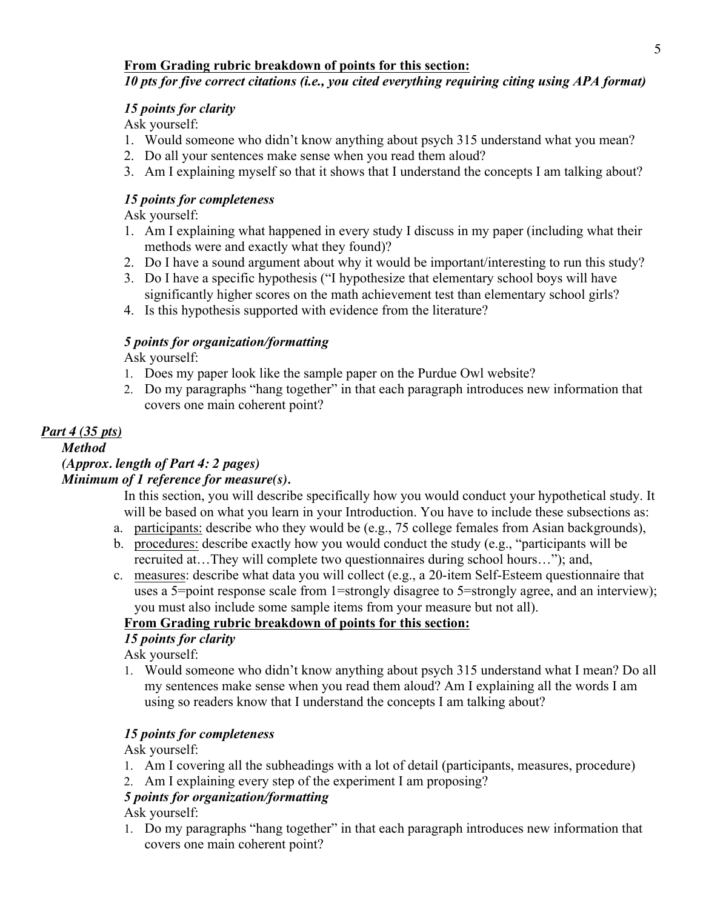## **From Grading rubric breakdown of points for this section:**

# *10 pts for five correct citations (i.e., you cited everything requiring citing using APA format)*

## *15 points for clarity*

Ask yourself:

- 1. Would someone who didn't know anything about psych 315 understand what you mean?
- 2. Do all your sentences make sense when you read them aloud?
- 3. Am I explaining myself so that it shows that I understand the concepts I am talking about?

## *15 points for completeness*

Ask yourself:

- 1. Am I explaining what happened in every study I discuss in my paper (including what their methods were and exactly what they found)?
- 2. Do I have a sound argument about why it would be important/interesting to run this study?
- 3. Do I have a specific hypothesis ("I hypothesize that elementary school boys will have significantly higher scores on the math achievement test than elementary school girls?
- 4. Is this hypothesis supported with evidence from the literature?

# *5 points for organization/formatting*

Ask yourself:

- 1. Does my paper look like the sample paper on the Purdue Owl website?
- 2. Do my paragraphs "hang together" in that each paragraph introduces new information that covers one main coherent point?

# *Part 4 (35 pts)*

*Method*

# *(Approx. length of Part 4: 2 pages)*

# *Minimum of 1 reference for measure(s).*

In this section, you will describe specifically how you would conduct your hypothetical study. It will be based on what you learn in your Introduction. You have to include these subsections as:

- a. participants: describe who they would be (e.g., 75 college females from Asian backgrounds),
- b. procedures: describe exactly how you would conduct the study (e.g., "participants will be recruited at…They will complete two questionnaires during school hours…"); and,
- c. measures: describe what data you will collect (e.g., a 20-item Self-Esteem questionnaire that uses a 5=point response scale from 1=strongly disagree to 5=strongly agree, and an interview); you must also include some sample items from your measure but not all).

## **From Grading rubric breakdown of points for this section:**

# *15 points for clarity*

Ask yourself:

1. Would someone who didn't know anything about psych 315 understand what I mean? Do all my sentences make sense when you read them aloud? Am I explaining all the words I am using so readers know that I understand the concepts I am talking about?

# *15 points for completeness*

Ask yourself:

- 1. Am I covering all the subheadings with a lot of detail (participants, measures, procedure)
- 2. Am I explaining every step of the experiment I am proposing?

# *5 points for organization/formatting*

Ask yourself:

1. Do my paragraphs "hang together" in that each paragraph introduces new information that covers one main coherent point?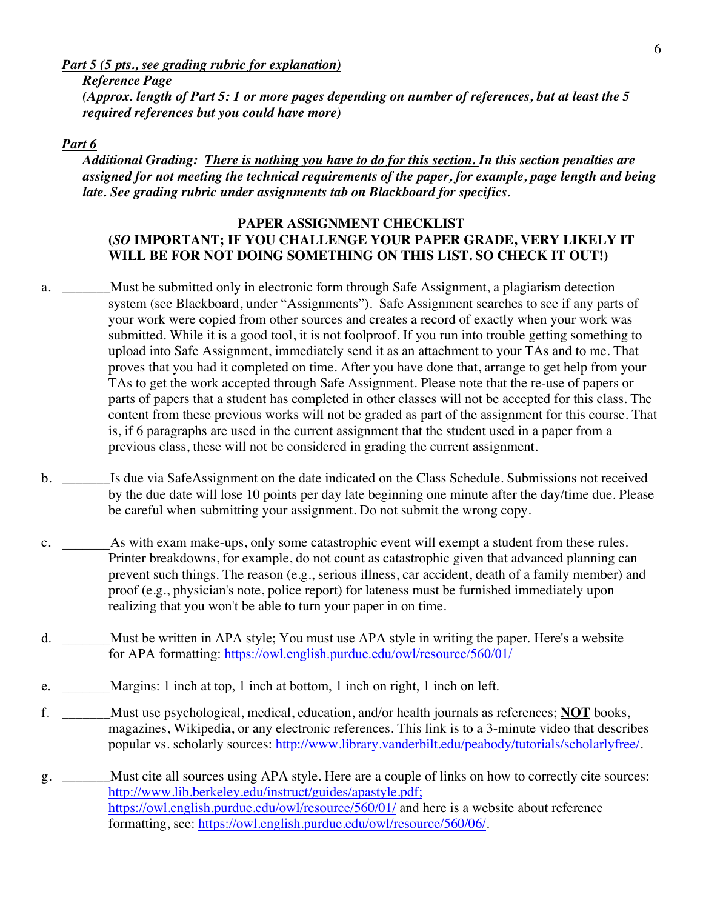*Part 5 (5 pts., see grading rubric for explanation)* 

6

*Reference Page (Approx. length of Part 5: 1 or more pages depending on number of references, but at least the 5 required references but you could have more)*

### *Part 6*

*Additional Grading: There is nothing you have to do for this section. In this section penalties are assigned for not meeting the technical requirements of the paper, for example, page length and being late. See grading rubric under assignments tab on Blackboard for specifics.*

### **PAPER ASSIGNMENT CHECKLIST (***SO* **IMPORTANT; IF YOU CHALLENGE YOUR PAPER GRADE, VERY LIKELY IT WILL BE FOR NOT DOING SOMETHING ON THIS LIST. SO CHECK IT OUT!)**

- a. \_\_\_\_\_\_\_Must be submitted only in electronic form through Safe Assignment, a plagiarism detection system (see Blackboard, under "Assignments"). Safe Assignment searches to see if any parts of your work were copied from other sources and creates a record of exactly when your work was submitted. While it is a good tool, it is not foolproof. If you run into trouble getting something to upload into Safe Assignment, immediately send it as an attachment to your TAs and to me. That proves that you had it completed on time. After you have done that, arrange to get help from your TAs to get the work accepted through Safe Assignment. Please note that the re-use of papers or parts of papers that a student has completed in other classes will not be accepted for this class. The content from these previous works will not be graded as part of the assignment for this course. That is, if 6 paragraphs are used in the current assignment that the student used in a paper from a previous class, these will not be considered in grading the current assignment.
- b. \_\_\_\_\_\_\_Is due via SafeAssignment on the date indicated on the Class Schedule. Submissions not received by the due date will lose 10 points per day late beginning one minute after the day/time due. Please be careful when submitting your assignment. Do not submit the wrong copy.
- c. As with exam make-ups, only some catastrophic event will exempt a student from these rules. Printer breakdowns, for example, do not count as catastrophic given that advanced planning can prevent such things. The reason (e.g., serious illness, car accident, death of a family member) and proof (e.g., physician's note, police report) for lateness must be furnished immediately upon realizing that you won't be able to turn your paper in on time.
- d. \_\_\_\_\_\_\_Must be written in APA style; You must use APA style in writing the paper. Here's a website for APA formatting: https://owl.english.purdue.edu/owl/resource/560/01/
- e. Margins: 1 inch at top, 1 inch at bottom, 1 inch on right, 1 inch on left.
- f. \_\_\_\_\_\_\_Must use psychological, medical, education, and/or health journals as references; **NOT** books, magazines, Wikipedia, or any electronic references. This link is to a 3-minute video that describes popular vs. scholarly sources: http://www.library.vanderbilt.edu/peabody/tutorials/scholarlyfree/.
- g. \_\_\_\_\_\_\_Must cite all sources using APA style. Here are a couple of links on how to correctly cite sources: http://www.lib.berkeley.edu/instruct/guides/apastyle.pdf; https://owl.english.purdue.edu/owl/resource/560/01/ and here is a website about reference formatting, see: https://owl.english.purdue.edu/owl/resource/560/06/.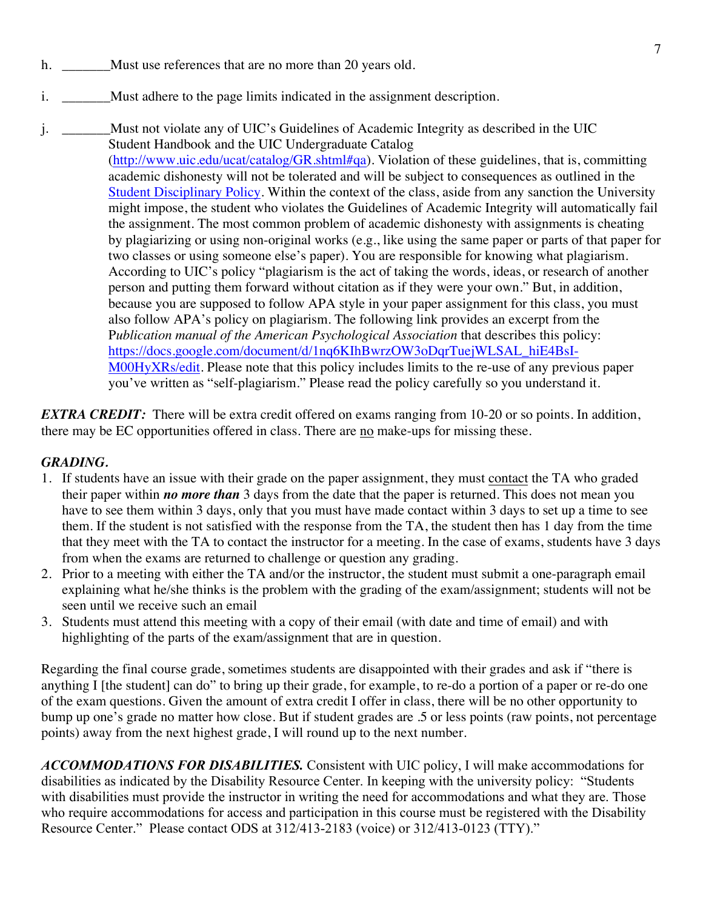- h. \_\_\_\_\_\_\_\_\_ Must use references that are no more than 20 years old.
- i. Must adhere to the page limits indicated in the assignment description.
- j. \_\_\_\_\_\_\_Must not violate any of UIC's Guidelines of Academic Integrity as described in the UIC Student Handbook and the UIC Undergraduate Catalog (http://www.uic.edu/ucat/catalog/GR.shtml#qa). Violation of these guidelines, that is, committing academic dishonesty will not be tolerated and will be subject to consequences as outlined in the Student Disciplinary Policy. Within the context of the class, aside from any sanction the University might impose, the student who violates the Guidelines of Academic Integrity will automatically fail the assignment. The most common problem of academic dishonesty with assignments is cheating by plagiarizing or using non-original works (e.g., like using the same paper or parts of that paper for two classes or using someone else's paper). You are responsible for knowing what plagiarism. According to UIC's policy "plagiarism is the act of taking the words, ideas, or research of another person and putting them forward without citation as if they were your own." But, in addition, because you are supposed to follow APA style in your paper assignment for this class, you must also follow APA's policy on plagiarism. The following link provides an excerpt from the P*ublication manual of the American Psychological Association* that describes this policy: https://docs.google.com/document/d/1nq6KIhBwrzOW3oDqrTuejWLSAL\_hiE4BsI-M00HyXRs/edit. Please note that this policy includes limits to the re-use of any previous paper you've written as "self-plagiarism." Please read the policy carefully so you understand it.

*EXTRA CREDIT:* There will be extra credit offered on exams ranging from 10-20 or so points. In addition, there may be EC opportunities offered in class. There are no make-ups for missing these.

## *GRADING.*

- 1. If students have an issue with their grade on the paper assignment, they must contact the TA who graded their paper within *no more than* 3 days from the date that the paper is returned. This does not mean you have to see them within 3 days, only that you must have made contact within 3 days to set up a time to see them. If the student is not satisfied with the response from the TA, the student then has 1 day from the time that they meet with the TA to contact the instructor for a meeting. In the case of exams, students have 3 days from when the exams are returned to challenge or question any grading.
- 2. Prior to a meeting with either the TA and/or the instructor, the student must submit a one-paragraph email explaining what he/she thinks is the problem with the grading of the exam/assignment; students will not be seen until we receive such an email
- 3. Students must attend this meeting with a copy of their email (with date and time of email) and with highlighting of the parts of the exam/assignment that are in question.

Regarding the final course grade, sometimes students are disappointed with their grades and ask if "there is anything I [the student] can do" to bring up their grade, for example, to re-do a portion of a paper or re-do one of the exam questions. Given the amount of extra credit I offer in class, there will be no other opportunity to bump up one's grade no matter how close. But if student grades are .5 or less points (raw points, not percentage points) away from the next highest grade, I will round up to the next number.

*ACCOMMODATIONS FOR DISABILITIES.* Consistent with UIC policy, I will make accommodations for disabilities as indicated by the Disability Resource Center. In keeping with the university policy: "Students with disabilities must provide the instructor in writing the need for accommodations and what they are. Those who require accommodations for access and participation in this course must be registered with the Disability Resource Center." Please contact ODS at 312/413-2183 (voice) or 312/413-0123 (TTY)."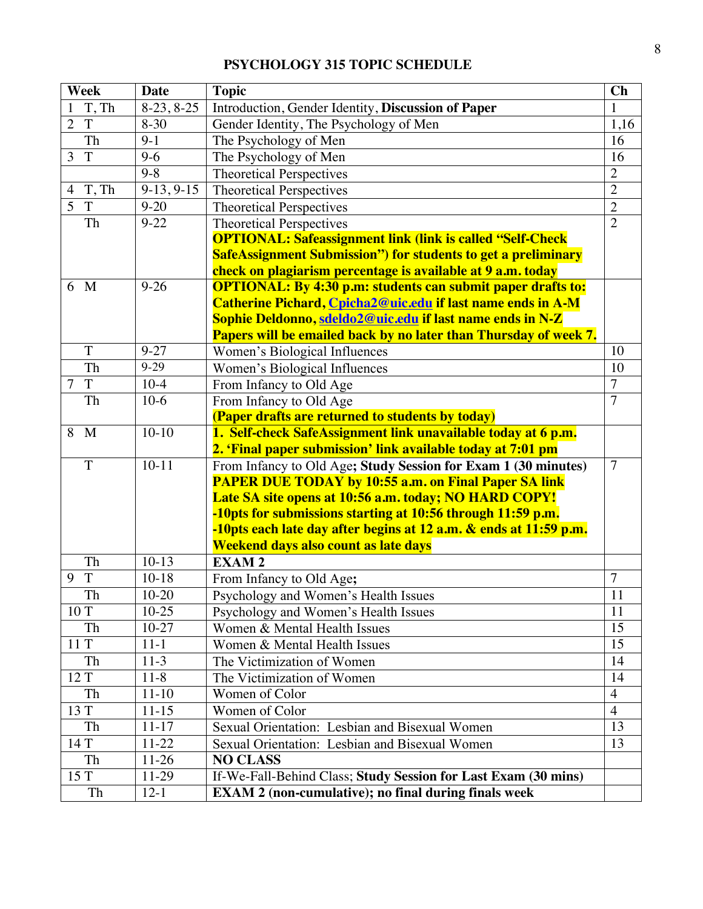# **PSYCHOLOGY 315 TOPIC SCHEDULE**

|                | <b>Week</b>  | <b>Date</b>  | <b>Topic</b>                                                         | Ch              |
|----------------|--------------|--------------|----------------------------------------------------------------------|-----------------|
| 1              | T, Th        | $8-23, 8-25$ | Introduction, Gender Identity, Discussion of Paper                   | 1               |
| $\overline{2}$ | T            | $8 - 30$     | Gender Identity, The Psychology of Men                               | 1,16            |
|                | Th           | $9-1$        | The Psychology of Men                                                | $\overline{16}$ |
| 3              | $\mathbf T$  | $9 - 6$      | The Psychology of Men                                                | 16              |
|                |              | $9 - 8$      | <b>Theoretical Perspectives</b>                                      | $\overline{2}$  |
| $\overline{4}$ | T, Th        | $9-13, 9-15$ | <b>Theoretical Perspectives</b>                                      | $\overline{2}$  |
| 5              | T            | $9 - 20$     | <b>Theoretical Perspectives</b>                                      | $\overline{2}$  |
|                | Th           | $9 - 22$     | <b>Theoretical Perspectives</b>                                      | $\overline{2}$  |
|                |              |              | <b>OPTIONAL: Safeassignment link (link is called "Self-Check</b>     |                 |
|                |              |              | <b>SafeAssignment Submission") for students to get a preliminary</b> |                 |
|                |              |              | check on plagiarism percentage is available at 9 a.m. today          |                 |
| 6              | $\mathbf{M}$ | $9 - 26$     | <b>OPTIONAL: By 4:30 p.m: students can submit paper drafts to:</b>   |                 |
|                |              |              | Catherine Pichard, Cpicha2@uic.edu if last name ends in A-M          |                 |
|                |              |              | Sophie Deldonno, sdeldo2@uic.edu if last name ends in N-Z            |                 |
|                |              |              | Papers will be emailed back by no later than Thursday of week 7.     |                 |
|                | T            | $9 - 27$     | Women's Biological Influences                                        | 10              |
|                | Th           | $9 - 29$     | Women's Biological Influences                                        | 10              |
| $\overline{7}$ | $\mathbf T$  | $10-4$       | From Infancy to Old Age                                              | $\overline{7}$  |
|                | Th           | $10-6$       | From Infancy to Old Age                                              | $\overline{7}$  |
|                |              |              | (Paper drafts are returned to students by today)                     |                 |
| 8              | $\mathbf{M}$ | $10-10$      | 1. Self-check SafeAssignment link unavailable today at 6 p.m.        |                 |
|                |              |              | 2. 'Final paper submission' link available today at 7:01 pm          |                 |
|                | T            | $10 - 11$    | From Infancy to Old Age; Study Session for Exam 1 (30 minutes)       | $\overline{7}$  |
|                |              |              | <b>PAPER DUE TODAY by 10:55 a.m. on Final Paper SA link</b>          |                 |
|                |              |              | Late SA site opens at 10:56 a.m. today; NO HARD COPY!                |                 |
|                |              |              | -10pts for submissions starting at 10:56 through 11:59 p.m.          |                 |
|                |              |              | -10pts each late day after begins at 12 a.m. & ends at 11:59 p.m.    |                 |
|                |              |              | Weekend days also count as late days                                 |                 |
|                | Th           | $10-13$      | <b>EXAM2</b>                                                         |                 |
| 9              | T            | $10 - 18$    | From Infancy to Old Age;                                             | 7               |
|                | Th           | $10-20$      | Psychology and Women's Health Issues                                 | 11              |
|                | 10T          | $10-25$      | Psychology and Women's Health Issues                                 | 11              |
|                | Th           | $10-27$      | Women & Mental Health Issues                                         | 15              |
|                | 11 T         | $11-1$       | Women & Mental Health Issues                                         | 15              |
|                | Th           | $11-3$       | The Victimization of Women                                           | 14              |
|                | 12 T         | $11-8$       | The Victimization of Women                                           | 14              |
|                | Th           | $11-10$      | Women of Color                                                       | $\overline{4}$  |
|                | 13 T         | $11-15$      | Women of Color                                                       | $\overline{4}$  |
|                | Th           | $11 - 17$    | Sexual Orientation: Lesbian and Bisexual Women                       | 13              |
|                | 14 T         | $11-22$      | Sexual Orientation: Lesbian and Bisexual Women                       | 13              |
|                | Th           | $11-26$      | <b>NO CLASS</b>                                                      |                 |
|                | 15 T         | 11-29        | If-We-Fall-Behind Class; Study Session for Last Exam (30 mins)       |                 |
|                | Th           | $12 - 1$     | <b>EXAM 2 (non-cumulative); no final during finals week</b>          |                 |